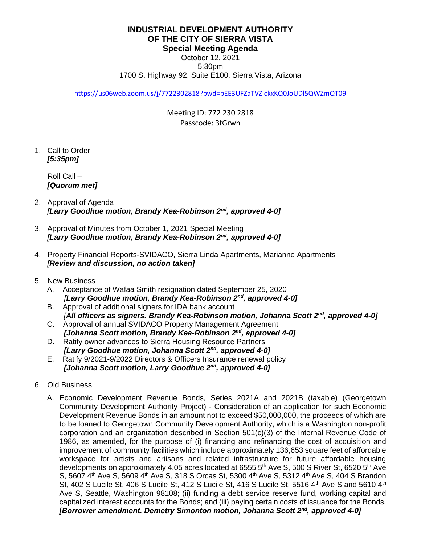**INDUSTRIAL DEVELOPMENT AUTHORITY OF THE CITY OF SIERRA VISTA Special Meeting Agenda**

October 12, 2021 5:30pm 1700 S. Highway 92, Suite E100, Sierra Vista, Arizona

<https://us06web.zoom.us/j/7722302818?pwd=bEE3UFZaTVZickxKQ0JoUDl5QWZmQT09>

Meeting ID: 772 230 2818 Passcode: 3fGrwh

1. Call to Order  *[5:35pm]*

> Roll Call – *[Quorum met]*

- 2. Approval of Agenda *[Larry Goodhue motion, Brandy Kea-Robinson 2nd, approved 4-0]*
- 3. Approval of Minutes from October 1, 2021 Special Meeting  *[Larry Goodhue motion, Brandy Kea-Robinson 2nd , approved 4-0]*
- 4. Property Financial Reports-SVIDACO, Sierra Linda Apartments, Marianne Apartments  *[Review and discussion, no action taken]*
- 5. New Business
	- A. Acceptance of Wafaa Smith resignation dated September 25, 2020  *[Larry Goodhue motion, Brandy Kea-Robinson 2nd, approved 4-0]*
	- B. Approval of additional signers for IDA bank account  *[All officers as signers. Brandy Kea-Robinson motion, Johanna Scott 2nd, approved 4-0]*
	- C. Approval of annual SVIDACO Property Management Agreement *[Johanna Scott motion, Brandy Kea-Robinson 2nd, approved 4-0]*
	- D. Ratify owner advances to Sierra Housing Resource Partners  *[Larry Goodhue motion, Johanna Scott 2nd, approved 4-0]*
	- E. Ratify 9/2021-9/2022 Directors & Officers Insurance renewal policy  *[Johanna Scott motion, Larry Goodhue 2nd, approved 4-0]*
- 6. Old Business
	- A. Economic Development Revenue Bonds, Series 2021A and 2021B (taxable) (Georgetown Community Development Authority Project) - Consideration of an application for such Economic Development Revenue Bonds in an amount not to exceed \$50,000,000, the proceeds of which are to be loaned to Georgetown Community Development Authority, which is a Washington non-profit corporation and an organization described in Section 501(c)(3) of the Internal Revenue Code of 1986, as amended, for the purpose of (i) financing and refinancing the cost of acquisition and improvement of community facilities which include approximately 136,653 square feet of affordable workspace for artists and artisans and related infrastructure for future affordable housing developments on approximately 4.05 acres located at 6555  $5<sup>th</sup>$  Ave S, 500 S River St, 6520  $5<sup>th</sup>$  Ave S, 5607 4<sup>th</sup> Ave S, 5609 4<sup>th</sup> Ave S, 318 S Orcas St, 5300 4<sup>th</sup> Ave S, 5312 4<sup>th</sup> Ave S, 404 S Brandon St, 402 S Lucile St, 406 S Lucile St, 412 S Lucile St, 416 S Lucile St, 5516 4th Ave S and 5610 4th Ave S, Seattle, Washington 98108; (ii) funding a debt service reserve fund, working capital and capitalized interest accounts for the Bonds; and (iii) paying certain costs of issuance for the Bonds. *[Borrower amendment. Demetry Simonton motion, Johanna Scott 2nd, approved 4-0]*